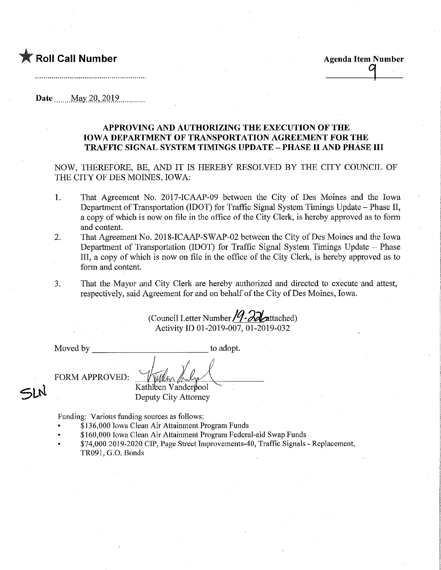**Roll Call Number Agents Agents Agents Agents Agents Agents Agents Agents Agents Agents Agents Agents Agents Agents Agents Agents Agents Agents Agents Agents Agents Agents Agents Agents Agents Agents Agents Agents Agents A** 

4

Date........May 2Q,.2Q19

## APPROVING AND AUTHORIZING THE EXECUTION OF THE IOWA DEPARTMENT OF TRANSPORTATION AGREEMENT FOR THE TRAFFIC SIGNAL SYSTEM TIMINGS UPDATE - PHASE II AND PHASE HI

NOW, THEREFORE, BE, AND IT IS HEREBY RESOLVED BY THE CITY COUNCIL OF THE CITY OF DES MOINES, IOWA:

- 1. That Agreement No. 2017-ICAAP-09 between the City of Des Moines and the Iowa Department of Transportation (IDOT) for Traffic Signal System Timings Update – Phase II, a copy of which is now on file in the office of the City Clerk, is hereby approved as to form and content.
- 2. That Agreement No. 2018-ICAAP-SWAP-02 between the City of Des Moines and the Iowa Department of Transportation (IDOT) for Traffic Signal System Timings Update - Phase Ill, a copy of which is now on file in the office of the City Clerk, is hereby approved as to form and content.
- 3. That the Mayor and City Clerk are hereby authorized and directed to execute and attest, respectively, said Agreement for and on behalf of the City of Des Moines, Iowa.

(Council Letter Number  $/4$ - $\partial \partial$  attached) Activity ID 01-2019-007, 01-2019-032

Moved by to adopt.

FORM APPROVED:

SLN

Kathleen Vanderpool Deputy City Attorney

Funding: Various funding sources as follows:

- \$136,000 Iowa Clean Air Attainment Program Funds
- \$ 160,000 Iowa Clean Air Attamment Program Federal-aid Swap Funds
- \$74,000 2019-2020 CIP, Page Street Improvements-40, Traffic Signals Replacement, TR091, G.O. Bonds